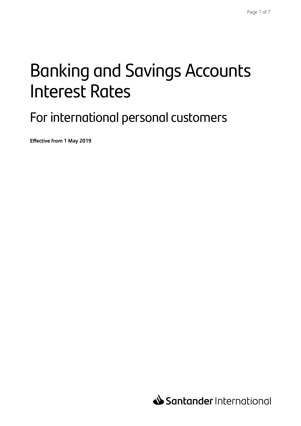# Banking and Savings Accounts Interest Rates

### For international personal customers

**Effective from 1 May 2019**

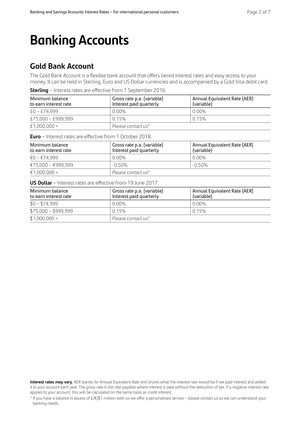## **Banking Accounts**

### **Gold Bank Account**

The Gold Bank Account is a flexible bank account that offers tiered interest rates and easy access to your money. It can be held in Sterling, Euro and US Dollar currencies and is accompanied by a Gold Visa debit card.

**Sterling** – Interest rates are effective from 1 September 2016.

| Minimum balance<br>to earn interest rate | Gross rate p.a. (variable)<br>Interest paid quarterly | Annual Equivalent Rate (AER)<br>(variable) |
|------------------------------------------|-------------------------------------------------------|--------------------------------------------|
| $£0 - £74.999$                           | $0.00\%$                                              | 0.00%                                      |
| £75,000 - £999,999                       | 0.15%                                                 | 0.15%                                      |
| £1,000,000 +                             | Please contact us*                                    |                                            |

**Euro** – Interest rates are effective from 1 October 2018.

| Minimum balance<br>to earn interest rate | Gross rate p.a. (variable)<br>Interest paid quarterly | Annual Equivalent Rate (AER)<br>(variable) |
|------------------------------------------|-------------------------------------------------------|--------------------------------------------|
| €0 – €74.999                             | $0.00\%$                                              | 0.00%                                      |
| €75,000 - €999,999                       | $-0.50\%$                                             | $-0.50\%$                                  |
| €1,000,000 +                             | Please contact us*                                    |                                            |

**US Dollar** – Interest rates are effective from 19 June 2017.

| Minimum balance<br>to earn interest rate | Gross rate p.a. (variable)<br>Interest paid quarterly | Annual Equivalent Rate (AER)<br>(variable) |
|------------------------------------------|-------------------------------------------------------|--------------------------------------------|
| $$0 - $74,999$                           | 0.00%                                                 | 0.00%                                      |
| $$75,000 - $999,999$                     | 0.15%                                                 | 0.15%                                      |
| $$1,000,000 +$                           | Please contact us*                                    |                                            |

**Interest rates may vary.** AER stands for Annual Equivalent Rate and shows what the interest rate would be if we paid interest and added it to your account each year. The gross rate is the rate payable where interest is paid without the deduction of tax. If a negative interest rate applies to your account, this will be calculated on the same basis as credit interest.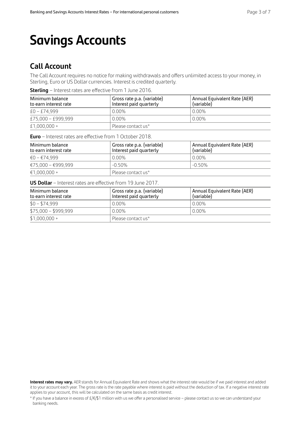## **Savings Accounts**

### **Call Account**

The Call Account requires no notice for making withdrawals and offers unlimited access to your money, in Sterling, Euro or US Dollar currencies. Interest is credited quarterly.

**Sterling** – Interest rates are effective from 1 June 2016.

| Minimum balance<br>to earn interest rate | Gross rate p.a. (variable)<br>Interest paid quarterly | Annual Equivalent Rate (AER)<br>(variable) |
|------------------------------------------|-------------------------------------------------------|--------------------------------------------|
| $£0 - £74.999$                           | $0.00\%$                                              | 0.00%                                      |
| £75,000 - £999,999                       | $0.00\%$                                              | 0.00%                                      |
| £1,000,000 +                             | Please contact us*                                    |                                            |

**Euro** – Interest rates are effective from 1 October 2018.

| Minimum balance<br>to earn interest rate | Gross rate p.a. (variable)<br>Interest paid quarterly | Annual Equivalent Rate (AER)<br>(variable) |
|------------------------------------------|-------------------------------------------------------|--------------------------------------------|
| €0 – €74.999                             | $0.00\%$                                              | 0.00%                                      |
| €75,000 - €999,999                       | $-0.50\%$                                             | $-0.50\%$                                  |
| $€1.000.000 +$                           | Please contact us*                                    |                                            |

**US Dollar** – Interest rates are effective from 19 June 2017.

| Minimum balance<br>to earn interest rate | ' Gross rate p.a. (variable)<br>Interest paid quarterly | Annual Equivalent Rate (AER)<br>(variable) |
|------------------------------------------|---------------------------------------------------------|--------------------------------------------|
| $$0 - $74,999$                           | $0.00\%$                                                | 0.00%                                      |
| $$75,000 - $999,999$                     | $0.00\%$                                                | 0.00%                                      |
| $$1,000,000 +$                           | Please contact us*                                      |                                            |

**Interest rates may vary.** AER stands for Annual Equivalent Rate and shows what the interest rate would be if we paid interest and added it to your account each year. The gross rate is the rate payable where interest is paid without the deduction of tax. If a negative interest rate applies to your account, this will be calculated on the same basis as credit interest.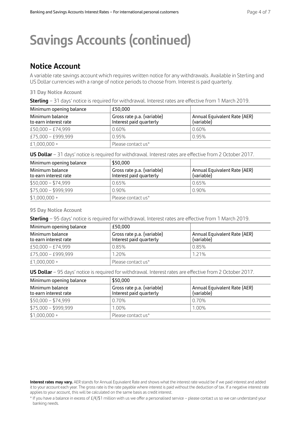## **Savings Accounts (continued)**

### **Notice Account**

A variable rate savings account which requires written notice for any withdrawals. Available in Sterling and US Dollar currencies with a range of notice periods to choose from. Interest is paid quarterly.

#### **31 Day Notice Account**

| Minimum opening balance                  | £50.000                                               |                                            |
|------------------------------------------|-------------------------------------------------------|--------------------------------------------|
| Minimum balance<br>to earn interest rate | Gross rate p.a. (variable)<br>Interest paid quarterly | Annual Equivalent Rate (AER)<br>(variable) |
| $£50,000 - £74,999$                      | $0.60\%$                                              | 0.60%                                      |
| £75,000 - £999,999                       | 0.95%                                                 | 0.95%                                      |
| £1,000,000 +                             | Please contact us*                                    |                                            |

**US Dollar** – 31 days' notice is required for withdrawal. Interest rates are effective from 2 October 2017.

| Minimum opening balance                  | \$50,000                                              |                                            |
|------------------------------------------|-------------------------------------------------------|--------------------------------------------|
| Minimum balance<br>to earn interest rate | Gross rate p.a. (variable)<br>Interest paid quarterly | Annual Equivalent Rate (AER)<br>(variable) |
| $$50,000 - $74,999$                      | 0.65%                                                 | 0.65%                                      |
| $$75,000 - $999,999$                     | $0.90\%$                                              | 0.90%                                      |
| $$1,000,000 +$                           | Please contact us*                                    |                                            |

#### **95 Day Notice Account**

**Sterling** – 95 days' notice is required for withdrawal. Interest rates are effective from 1 March 2019.

| Minimum opening balance                  | £50.000                                               |                                            |
|------------------------------------------|-------------------------------------------------------|--------------------------------------------|
| Minimum balance<br>to earn interest rate | Gross rate p.a. (variable)<br>Interest paid quarterly | Annual Equivalent Rate (AER)<br>(variable) |
| £50,000 - £74,999                        | 0.85%                                                 | 0.85%                                      |
| £75,000 - £999,999                       | 1.20%                                                 | 1.21%                                      |
| £1,000,000 +                             | Please contact us*                                    |                                            |

**US Dollar** – 95 days' notice is required for withdrawal. Interest rates are effective from 2 October 2017.

| Minimum opening balance                  | \$50,000                                              |                                            |
|------------------------------------------|-------------------------------------------------------|--------------------------------------------|
| Minimum balance<br>to earn interest rate | Gross rate p.a. (variable)<br>Interest paid quarterly | Annual Equivalent Rate (AER)<br>(variable) |
| $$50,000 - $74,999$                      | 0.70%                                                 | 0.70%                                      |
| $$75,000 - $999,999$                     | 1.00%                                                 | 1.00%                                      |
| $$1,000,000 +$                           | Please contact us*                                    |                                            |

**Interest rates may vary.** AER stands for Annual Equivalent Rate and shows what the interest rate would be if we paid interest and added it to your account each year. The gross rate is the rate payable where interest is paid without the deduction of tax. If a negative interest rate applies to your account, this will be calculated on the same basis as credit interest.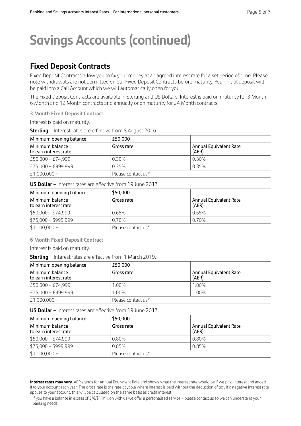## **Savings Accounts (continued)**

### **Fixed Deposit Contracts**

Fixed Deposit Contracts allow you to fix your money at an agreed interest rate for a set period of time. Please note withdrawals are not permitted on our Fixed Deposit Contracts before maturity. Your initial deposit will be paid into a Call Account which we will automatically open for you.

The Fixed Deposit Contracts are available in Sterling and US Dollars. Interest is paid on maturity for 3 Month, 6 Month and 12 Month contracts and annually or on maturity for 24 Month contracts.

**3 Month Fixed Deposit Contract** 

Interest is paid on maturity.

**Sterling** – Interest rates are effective from 8 August 2016.

| Minimum opening balance                  | £50.000            |                                 |
|------------------------------------------|--------------------|---------------------------------|
| Minimum balance<br>to earn interest rate | Gross rate         | Annual Equivalent Rate<br>(AER) |
| $£50,000 - £74,999$                      | 0.30%              | 0.30%                           |
| £75,000 - £999,999                       | 0.35%              | 0.35%                           |
| £1,000,000 +                             | Please contact us* |                                 |

**US Dollar** – Interest rates are effective from 19 June 2017.

| Minimum opening balance                  | \$50,000           |                                 |  |
|------------------------------------------|--------------------|---------------------------------|--|
| Minimum balance<br>to earn interest rate | Gross rate         | Annual Equivalent Rate<br>(AER) |  |
| $$50,000 - $74,999$                      | 0.65%              | 0.65%                           |  |
| $$75,000 - $999,999$                     | 0.70%              | 0.70%                           |  |
| $$1,000,000 +$                           | Please contact us* |                                 |  |

**6 Month Fixed Deposit Contract** 

Interest is paid on maturity.

**Sterling** – Interest rates are effective from 1 March 2019.

| Minimum opening balance                  | £50.000            |                                 |  |
|------------------------------------------|--------------------|---------------------------------|--|
| Minimum balance<br>to earn interest rate | Gross rate         | Annual Equivalent Rate<br>(AER) |  |
| £50,000 - £74,999                        | 1.00%              | 1.00%                           |  |
| £75,000 - £999,999                       | 1.00%              | 1.00%                           |  |
| £1,000,000 +                             | Please contact us* |                                 |  |

**US Dollar** – Interest rates are effective from 19 June 2017.

| Minimum opening balance                  | \$50,000           |                                 |  |
|------------------------------------------|--------------------|---------------------------------|--|
| Minimum balance<br>to earn interest rate | Gross rate         | Annual Equivalent Rate<br>(AER) |  |
| $$50,000 - $74,999$                      | 0.80%              | 0.80%                           |  |
| $$75,000 - $999,999$                     | 0.85%              | 0.85%                           |  |
| $$1,000,000 +$                           | Please contact us* |                                 |  |

**Interest rates may vary.** AER stands for Annual Equivalent Rate and shows what the interest rate would be if we paid interest and added it to your account each year. The gross rate is the rate payable where interest is paid without the deduction of tax. If a negative interest rate applies to your account, this will be calculated on the same basis as credit interest.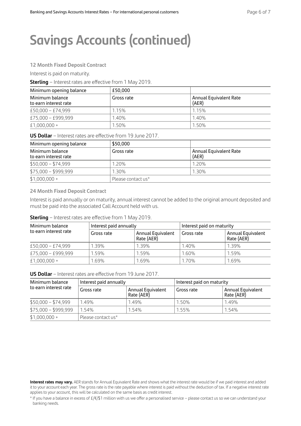## **Savings Accounts (continued)**

#### **12 Month Fixed Deposit Contract**

Interest is paid on maturity.

**Sterling** – Interest rates are effective from 1 May 2019.

| Minimum opening balance                  | £50.000    |                                 |  |
|------------------------------------------|------------|---------------------------------|--|
| Minimum balance<br>to earn interest rate | Gross rate | Annual Equivalent Rate<br>(AER) |  |
| $£50,000 - £74,999$                      | 1.15%      | 1.15%                           |  |
| £75,000 - £999,999                       | 1.40%      | 1.40%                           |  |
| $£1,000,000+$                            | 1.50%      | 1.50%                           |  |

**US Dollar** – Interest rates are effective from 19 June 2017.

| Minimum opening balance                  | \$50,000           |                                 |  |
|------------------------------------------|--------------------|---------------------------------|--|
| Minimum balance<br>to earn interest rate | Gross rate         | Annual Equivalent Rate<br>(AER) |  |
| $$50,000 - $74,999$                      | 1.20%              | 1.20%                           |  |
| $$75,000 - $999,999$                     | 1.30%              | 1.30%                           |  |
| $$1,000,000 +$                           | Please contact us* |                                 |  |

**24 Month Fixed Deposit Contract** 

Interest is paid annually or on maturity, annual interest cannot be added to the original amount deposited and must be paid into the associated Call Account held with us.

#### **Sterling** – Interest rates are effective from 1 May 2019.

| Minimum balance<br>to earn interest rate | Interest paid annually |                                        | Interest paid on maturity |                                 |
|------------------------------------------|------------------------|----------------------------------------|---------------------------|---------------------------------|
|                                          | Gross rate             | <b>Annual Equivalent</b><br>Rate (AER) | Gross rate                | Annual Equivalent<br>Rate (AER) |
| £50,000 - £74,999                        | 1.39%                  | 1.39%                                  | 1.40%                     | 1.39%                           |
| £75,000 - £999,999                       | 1.59%                  | 1.59%                                  | 1.60%                     | 1.59%                           |
| £1,000,000 +                             | 1.69%                  | 1.69%                                  | 1.70%                     | 1.69%                           |

**US Dollar** – Interest rates are effective from 19 June 2017.

| Minimum balance<br>to earn interest rate | Interest paid annually |                                 | Interest paid on maturity |                                 |
|------------------------------------------|------------------------|---------------------------------|---------------------------|---------------------------------|
|                                          | Gross rate             | Annual Equivalent<br>Rate (AER) | Gross rate                | Annual Equivalent<br>Rate (AER) |
| $$50,000 - $74,999$                      | 1.49%                  | 1.49%                           | 1.50%                     | 1.49%                           |
| $$75,000 - $999,999$                     | 1.54%                  | 1.54%                           | 1.55%                     | 1.54%                           |
| $$1,000,000 +$                           | Please contact us*     |                                 |                           |                                 |

**Interest rates may vary.** AER stands for Annual Equivalent Rate and shows what the interest rate would be if we paid interest and added it to your account each year. The gross rate is the rate payable where interest is paid without the deduction of tax. If a negative interest rate applies to your account, this will be calculated on the same basis as credit interest.